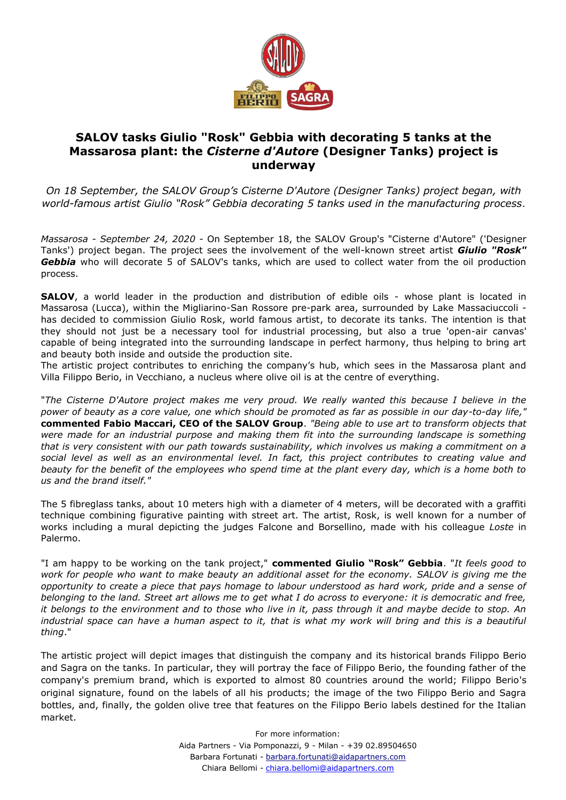

## **SALOV tasks Giulio "Rosk" Gebbia with decorating 5 tanks at the Massarosa plant: the** *Cisterne d'Autore* **(Designer Tanks) project is underway**

*On 18 September, the SALOV Group's Cisterne D'Autore (Designer Tanks) project began, with world-famous artist Giulio "Rosk" Gebbia decorating 5 tanks used in the manufacturing process*.

*Massarosa - September 24, 2020 -* On September 18, the SALOV Group's "Cisterne d'Autore" ('Designer Tanks') project began. The project sees the involvement of the well-known street artist *Giulio "Rosk" Gebbia* who will decorate 5 of SALOV's tanks, which are used to collect water from the oil production process.

**SALOV**, a world leader in the production and distribution of edible oils - whose plant is located in Massarosa (Lucca), within the Migliarino-San Rossore pre-park area, surrounded by Lake Massaciuccoli has decided to commission Giulio Rosk, world famous artist, to decorate its tanks. The intention is that they should not just be a necessary tool for industrial processing, but also a true 'open-air canvas' capable of being integrated into the surrounding landscape in perfect harmony, thus helping to bring art and beauty both inside and outside the production site.

The artistic project contributes to enriching the company's hub, which sees in the Massarosa plant and Villa Filippo Berio, in Vecchiano, a nucleus where olive oil is at the centre of everything.

"*The Cisterne D'Autore project makes me very proud. We really wanted this because I believe in the power of beauty as a core value, one which should be promoted as far as possible in our day-to-day life,"* **commented Fabio Maccari, CEO of the SALOV Group**. *"Being able to use art to transform objects that were made for an industrial purpose and making them fit into the surrounding landscape is something that is very consistent with our path towards sustainability, which involves us making a commitment on a social level as well as an environmental level. In fact, this project contributes to creating value and beauty for the benefit of the employees who spend time at the plant every day, which is a home both to us and the brand itself."*

The 5 fibreglass tanks, about 10 meters high with a diameter of 4 meters, will be decorated with a graffiti technique combining figurative painting with street art. The artist, Rosk, is well known for a number of works including a mural depicting the judges Falcone and Borsellino, made with his colleague *Loste* in Palermo.

"I am happy to be working on the tank project," **commented Giulio "Rosk" Gebbia**. "*It feels good to work for people who want to make beauty an additional asset for the economy. SALOV is giving me the opportunity to create a piece that pays homage to labour understood as hard work, pride and a sense of belonging to the land. Street art allows me to get what I do across to everyone: it is democratic and free, it belongs to the environment and to those who live in it, pass through it and maybe decide to stop. An industrial space can have a human aspect to it, that is what my work will bring and this is a beautiful thing*."

The artistic project will depict images that distinguish the company and its historical brands Filippo Berio and Sagra on the tanks. In particular, they will portray the face of Filippo Berio, the founding father of the company's premium brand, which is exported to almost 80 countries around the world; Filippo Berio's original signature, found on the labels of all his products; the image of the two Filippo Berio and Sagra bottles, and, finally, the golden olive tree that features on the Filippo Berio labels destined for the Italian market.